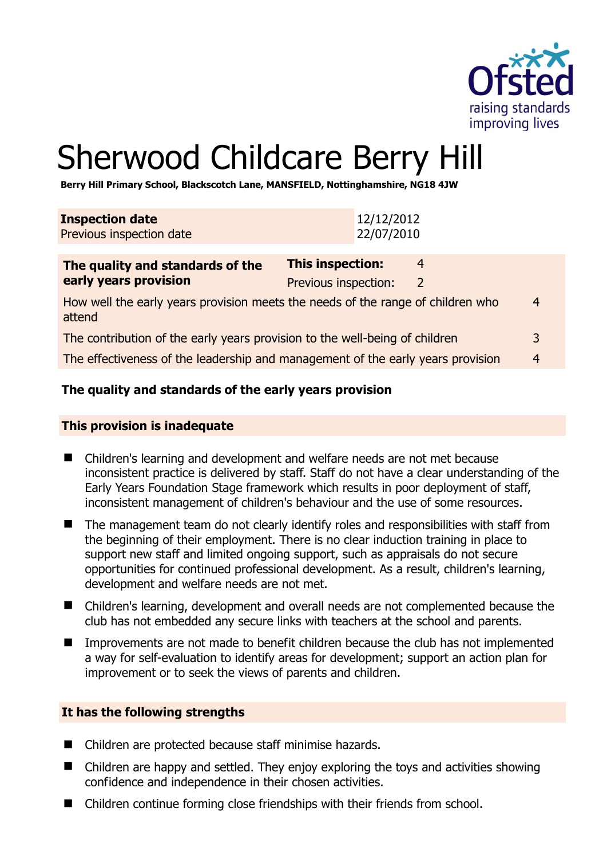

# Sherwood Childcare Berry Hill

**Berry Hill Primary School, Blackscotch Lane, MANSFIELD, Nottinghamshire, NG18 4JW** 

| <b>Inspection date</b><br>Previous inspection date                                             | 12/12/2012<br>22/07/2010                                  |  |
|------------------------------------------------------------------------------------------------|-----------------------------------------------------------|--|
| The quality and standards of the<br>early years provision                                      | <b>This inspection:</b><br>4<br>Previous inspection:<br>2 |  |
| How well the early years provision meets the needs of the range of children who<br>4<br>attend |                                                           |  |
| The contribution of the early years provision to the well-being of children                    |                                                           |  |
| The effectiveness of the leadership and management of the early years provision<br>4           |                                                           |  |

## **The quality and standards of the early years provision**

#### **This provision is inadequate**

- Children's learning and development and welfare needs are not met because inconsistent practice is delivered by staff. Staff do not have a clear understanding of the Early Years Foundation Stage framework which results in poor deployment of staff, inconsistent management of children's behaviour and the use of some resources.
- The management team do not clearly identify roles and responsibilities with staff from the beginning of their employment. There is no clear induction training in place to support new staff and limited ongoing support, such as appraisals do not secure opportunities for continued professional development. As a result, children's learning, development and welfare needs are not met.
- Children's learning, development and overall needs are not complemented because the club has not embedded any secure links with teachers at the school and parents.
- Improvements are not made to benefit children because the club has not implemented a way for self-evaluation to identify areas for development; support an action plan for improvement or to seek the views of parents and children.

#### **It has the following strengths**

- Children are protected because staff minimise hazards.
- Children are happy and settled. They enjoy exploring the toys and activities showing confidence and independence in their chosen activities.
- Children continue forming close friendships with their friends from school.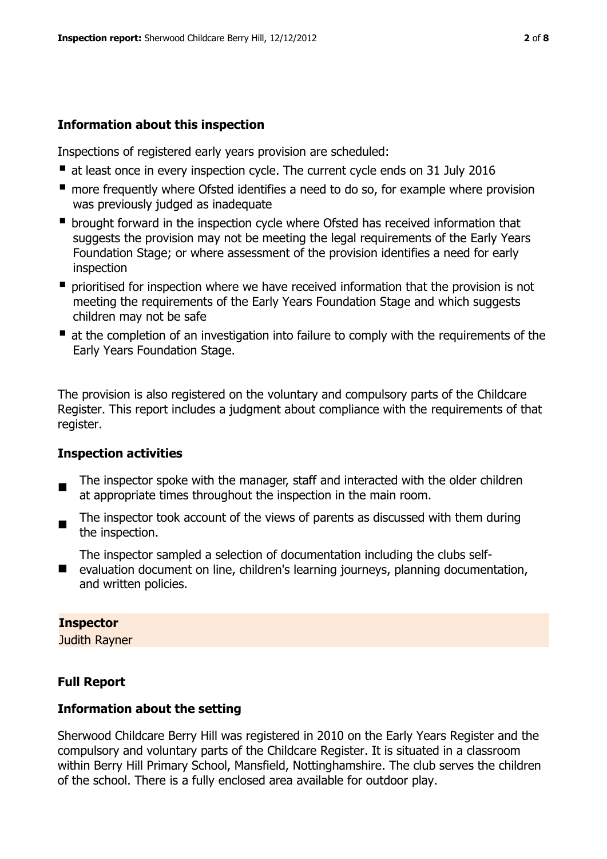## **Information about this inspection**

Inspections of registered early years provision are scheduled:

- at least once in every inspection cycle. The current cycle ends on 31 July 2016
- **n** more frequently where Ofsted identifies a need to do so, for example where provision was previously judged as inadequate
- **•** brought forward in the inspection cycle where Ofsted has received information that suggests the provision may not be meeting the legal requirements of the Early Years Foundation Stage; or where assessment of the provision identifies a need for early inspection
- **P** prioritised for inspection where we have received information that the provision is not meeting the requirements of the Early Years Foundation Stage and which suggests children may not be safe
- at the completion of an investigation into failure to comply with the requirements of the Early Years Foundation Stage.

The provision is also registered on the voluntary and compulsory parts of the Childcare Register. This report includes a judgment about compliance with the requirements of that register.

# **Inspection activities**

- $\blacksquare$ The inspector spoke with the manager, staff and interacted with the older children at appropriate times throughout the inspection in the main room.
- $\blacksquare$ The inspector took account of the views of parents as discussed with them during the inspection.
- The inspector sampled a selection of documentation including the clubs self-
- evaluation document on line, children's learning journeys, planning documentation, and written policies.

## **Inspector**

Judith Rayner

# **Full Report**

## **Information about the setting**

Sherwood Childcare Berry Hill was registered in 2010 on the Early Years Register and the compulsory and voluntary parts of the Childcare Register. It is situated in a classroom within Berry Hill Primary School, Mansfield, Nottinghamshire. The club serves the children of the school. There is a fully enclosed area available for outdoor play.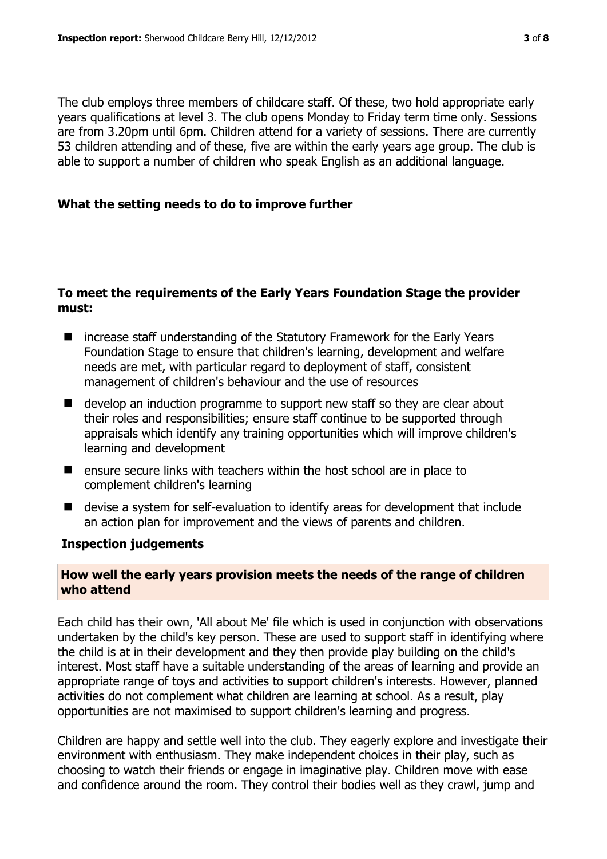The club employs three members of childcare staff. Of these, two hold appropriate early years qualifications at level 3. The club opens Monday to Friday term time only. Sessions are from 3.20pm until 6pm. Children attend for a variety of sessions. There are currently 53 children attending and of these, five are within the early years age group. The club is able to support a number of children who speak English as an additional language.

## **What the setting needs to do to improve further**

#### **To meet the requirements of the Early Years Foundation Stage the provider must:**

- increase staff understanding of the Statutory Framework for the Early Years Foundation Stage to ensure that children's learning, development and welfare needs are met, with particular regard to deployment of staff, consistent management of children's behaviour and the use of resources
- develop an induction programme to support new staff so they are clear about their roles and responsibilities; ensure staff continue to be supported through appraisals which identify any training opportunities which will improve children's learning and development
- $\blacksquare$  ensure secure links with teachers within the host school are in place to complement children's learning
- devise a system for self-evaluation to identify areas for development that include an action plan for improvement and the views of parents and children.

## **Inspection judgements**

## **How well the early years provision meets the needs of the range of children who attend**

Each child has their own, 'All about Me' file which is used in conjunction with observations undertaken by the child's key person. These are used to support staff in identifying where the child is at in their development and they then provide play building on the child's interest. Most staff have a suitable understanding of the areas of learning and provide an appropriate range of toys and activities to support children's interests. However, planned activities do not complement what children are learning at school. As a result, play opportunities are not maximised to support children's learning and progress.

Children are happy and settle well into the club. They eagerly explore and investigate their environment with enthusiasm. They make independent choices in their play, such as choosing to watch their friends or engage in imaginative play. Children move with ease and confidence around the room. They control their bodies well as they crawl, jump and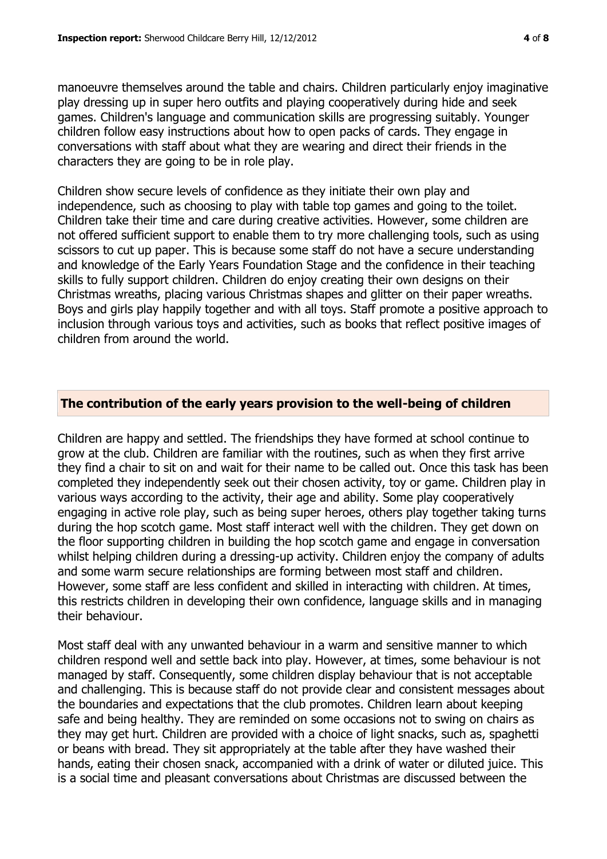manoeuvre themselves around the table and chairs. Children particularly enjoy imaginative play dressing up in super hero outfits and playing cooperatively during hide and seek games. Children's language and communication skills are progressing suitably. Younger children follow easy instructions about how to open packs of cards. They engage in conversations with staff about what they are wearing and direct their friends in the characters they are going to be in role play.

Children show secure levels of confidence as they initiate their own play and independence, such as choosing to play with table top games and going to the toilet. Children take their time and care during creative activities. However, some children are not offered sufficient support to enable them to try more challenging tools, such as using scissors to cut up paper. This is because some staff do not have a secure understanding and knowledge of the Early Years Foundation Stage and the confidence in their teaching skills to fully support children. Children do enjoy creating their own designs on their Christmas wreaths, placing various Christmas shapes and glitter on their paper wreaths. Boys and girls play happily together and with all toys. Staff promote a positive approach to inclusion through various toys and activities, such as books that reflect positive images of children from around the world.

## **The contribution of the early years provision to the well-being of children**

Children are happy and settled. The friendships they have formed at school continue to grow at the club. Children are familiar with the routines, such as when they first arrive they find a chair to sit on and wait for their name to be called out. Once this task has been completed they independently seek out their chosen activity, toy or game. Children play in various ways according to the activity, their age and ability. Some play cooperatively engaging in active role play, such as being super heroes, others play together taking turns during the hop scotch game. Most staff interact well with the children. They get down on the floor supporting children in building the hop scotch game and engage in conversation whilst helping children during a dressing-up activity. Children enjoy the company of adults and some warm secure relationships are forming between most staff and children. However, some staff are less confident and skilled in interacting with children. At times, this restricts children in developing their own confidence, language skills and in managing their behaviour.

Most staff deal with any unwanted behaviour in a warm and sensitive manner to which children respond well and settle back into play. However, at times, some behaviour is not managed by staff. Consequently, some children display behaviour that is not acceptable and challenging. This is because staff do not provide clear and consistent messages about the boundaries and expectations that the club promotes. Children learn about keeping safe and being healthy. They are reminded on some occasions not to swing on chairs as they may get hurt. Children are provided with a choice of light snacks, such as, spaghetti or beans with bread. They sit appropriately at the table after they have washed their hands, eating their chosen snack, accompanied with a drink of water or diluted juice. This is a social time and pleasant conversations about Christmas are discussed between the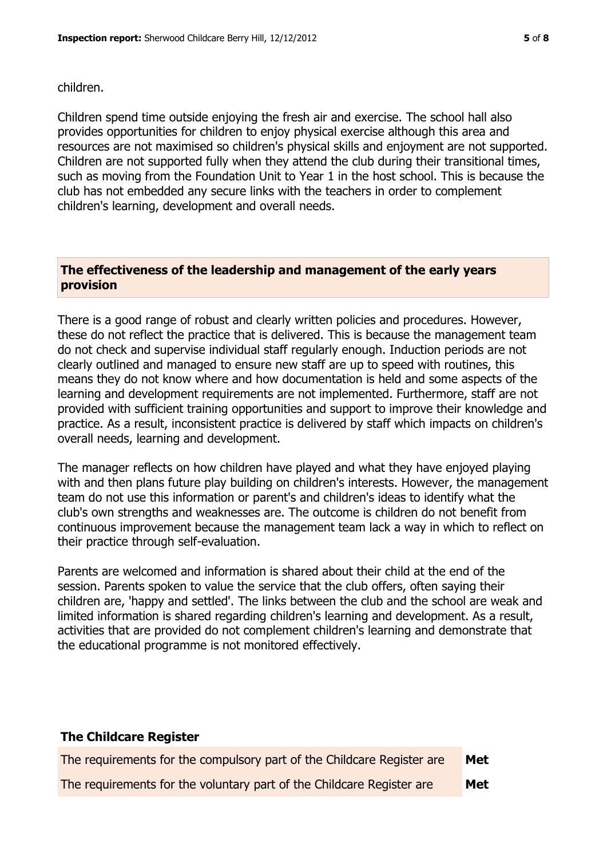#### children.

Children spend time outside enjoying the fresh air and exercise. The school hall also provides opportunities for children to enjoy physical exercise although this area and resources are not maximised so children's physical skills and enjoyment are not supported. Children are not supported fully when they attend the club during their transitional times, such as moving from the Foundation Unit to Year 1 in the host school. This is because the club has not embedded any secure links with the teachers in order to complement children's learning, development and overall needs.

## **The effectiveness of the leadership and management of the early years provision**

There is a good range of robust and clearly written policies and procedures. However, these do not reflect the practice that is delivered. This is because the management team do not check and supervise individual staff regularly enough. Induction periods are not clearly outlined and managed to ensure new staff are up to speed with routines, this means they do not know where and how documentation is held and some aspects of the learning and development requirements are not implemented. Furthermore, staff are not provided with sufficient training opportunities and support to improve their knowledge and practice. As a result, inconsistent practice is delivered by staff which impacts on children's overall needs, learning and development.

The manager reflects on how children have played and what they have enjoyed playing with and then plans future play building on children's interests. However, the management team do not use this information or parent's and children's ideas to identify what the club's own strengths and weaknesses are. The outcome is children do not benefit from continuous improvement because the management team lack a way in which to reflect on their practice through self-evaluation.

Parents are welcomed and information is shared about their child at the end of the session. Parents spoken to value the service that the club offers, often saying their children are, 'happy and settled'. The links between the club and the school are weak and limited information is shared regarding children's learning and development. As a result, activities that are provided do not complement children's learning and demonstrate that the educational programme is not monitored effectively.

#### **The Childcare Register**

| The requirements for the compulsory part of the Childcare Register are | Met |
|------------------------------------------------------------------------|-----|
| The requirements for the voluntary part of the Childcare Register are  | Met |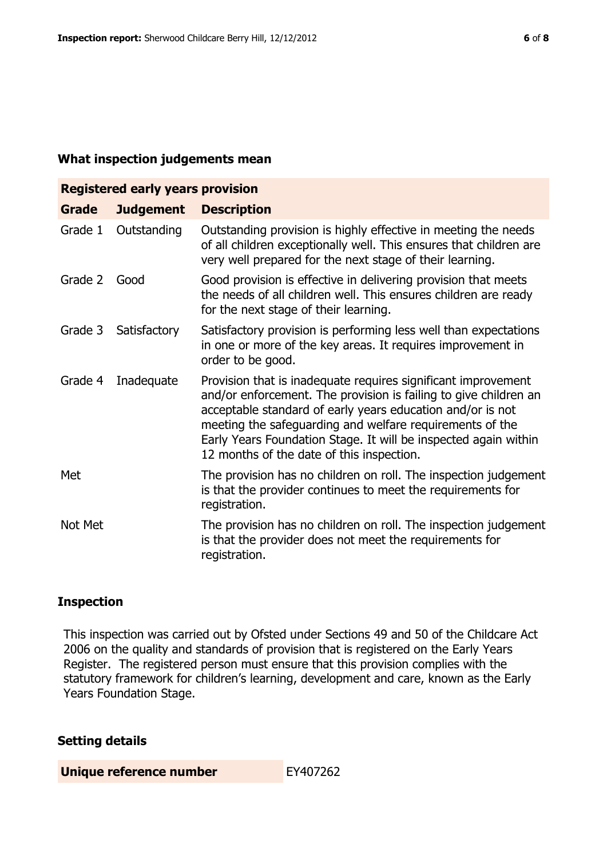#### **What inspection judgements mean**

| <b>Registered early years provision</b> |                  |                                                                                                                                                                                                                                                                                                                                                                             |  |
|-----------------------------------------|------------------|-----------------------------------------------------------------------------------------------------------------------------------------------------------------------------------------------------------------------------------------------------------------------------------------------------------------------------------------------------------------------------|--|
| <b>Grade</b>                            | <b>Judgement</b> | <b>Description</b>                                                                                                                                                                                                                                                                                                                                                          |  |
| Grade 1                                 | Outstanding      | Outstanding provision is highly effective in meeting the needs<br>of all children exceptionally well. This ensures that children are<br>very well prepared for the next stage of their learning.                                                                                                                                                                            |  |
| Grade 2                                 | Good             | Good provision is effective in delivering provision that meets<br>the needs of all children well. This ensures children are ready<br>for the next stage of their learning.                                                                                                                                                                                                  |  |
| Grade 3                                 | Satisfactory     | Satisfactory provision is performing less well than expectations<br>in one or more of the key areas. It requires improvement in<br>order to be good.                                                                                                                                                                                                                        |  |
| Grade 4                                 | Inadequate       | Provision that is inadequate requires significant improvement<br>and/or enforcement. The provision is failing to give children an<br>acceptable standard of early years education and/or is not<br>meeting the safeguarding and welfare requirements of the<br>Early Years Foundation Stage. It will be inspected again within<br>12 months of the date of this inspection. |  |
| Met                                     |                  | The provision has no children on roll. The inspection judgement<br>is that the provider continues to meet the requirements for<br>registration.                                                                                                                                                                                                                             |  |
| Not Met                                 |                  | The provision has no children on roll. The inspection judgement<br>is that the provider does not meet the requirements for<br>registration.                                                                                                                                                                                                                                 |  |

#### **Inspection**

This inspection was carried out by Ofsted under Sections 49 and 50 of the Childcare Act 2006 on the quality and standards of provision that is registered on the Early Years Register. The registered person must ensure that this provision complies with the statutory framework for children's learning, development and care, known as the Early Years Foundation Stage.

#### **Setting details**

**Unique reference number** EY407262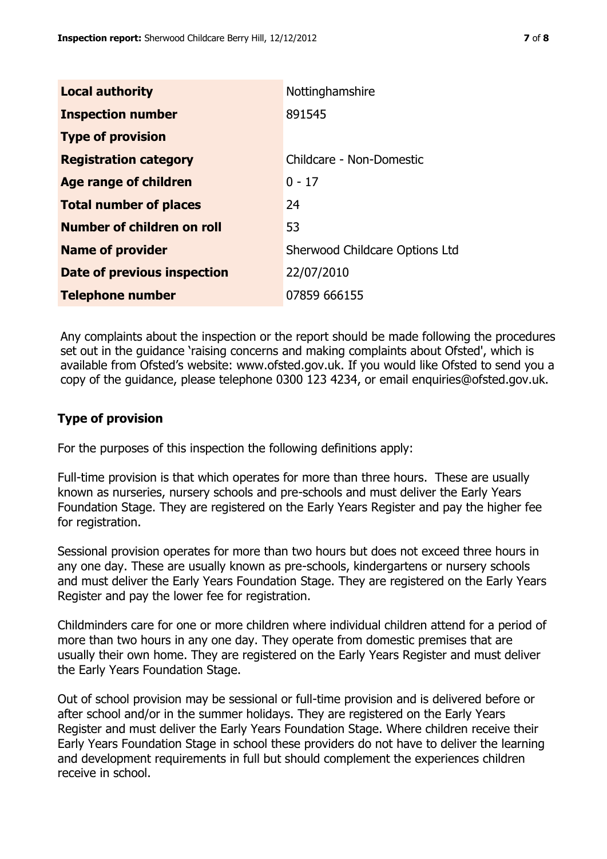| <b>Local authority</b>             | Nottinghamshire                       |
|------------------------------------|---------------------------------------|
| <b>Inspection number</b>           | 891545                                |
| <b>Type of provision</b>           |                                       |
| <b>Registration category</b>       | Childcare - Non-Domestic              |
| Age range of children              | $0 - 17$                              |
| <b>Total number of places</b>      | 24                                    |
| Number of children on roll         | 53                                    |
| <b>Name of provider</b>            | <b>Sherwood Childcare Options Ltd</b> |
| <b>Date of previous inspection</b> | 22/07/2010                            |
| <b>Telephone number</b>            | 07859 666155                          |

Any complaints about the inspection or the report should be made following the procedures set out in the guidance 'raising concerns and making complaints about Ofsted', which is available from Ofsted's website: www.ofsted.gov.uk. If you would like Ofsted to send you a copy of the guidance, please telephone 0300 123 4234, or email enquiries@ofsted.gov.uk.

#### **Type of provision**

For the purposes of this inspection the following definitions apply:

Full-time provision is that which operates for more than three hours. These are usually known as nurseries, nursery schools and pre-schools and must deliver the Early Years Foundation Stage. They are registered on the Early Years Register and pay the higher fee for registration.

Sessional provision operates for more than two hours but does not exceed three hours in any one day. These are usually known as pre-schools, kindergartens or nursery schools and must deliver the Early Years Foundation Stage. They are registered on the Early Years Register and pay the lower fee for registration.

Childminders care for one or more children where individual children attend for a period of more than two hours in any one day. They operate from domestic premises that are usually their own home. They are registered on the Early Years Register and must deliver the Early Years Foundation Stage.

Out of school provision may be sessional or full-time provision and is delivered before or after school and/or in the summer holidays. They are registered on the Early Years Register and must deliver the Early Years Foundation Stage. Where children receive their Early Years Foundation Stage in school these providers do not have to deliver the learning and development requirements in full but should complement the experiences children receive in school.